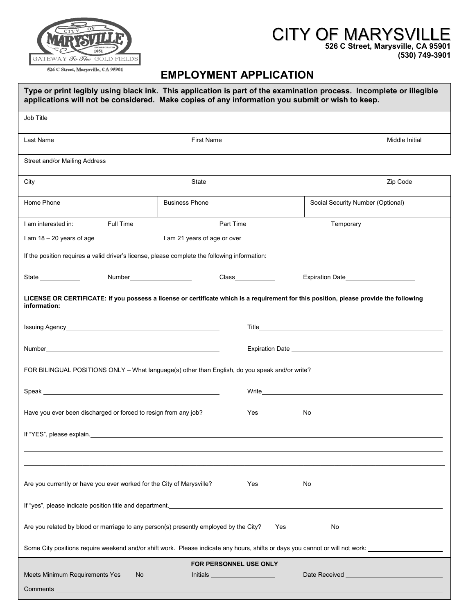

## **EMPLOYMENT APPLICATION**

| Type or print legibly using black ink. This application is part of the examination process. Incomplete or illegible<br>applications will not be considered. Make copies of any information you submit or wish to keep.                                                                                                                                     |  |  |  |  |  |  |  |  |
|------------------------------------------------------------------------------------------------------------------------------------------------------------------------------------------------------------------------------------------------------------------------------------------------------------------------------------------------------------|--|--|--|--|--|--|--|--|
| Job Title                                                                                                                                                                                                                                                                                                                                                  |  |  |  |  |  |  |  |  |
| <b>First Name</b><br>Last Name<br>Middle Initial                                                                                                                                                                                                                                                                                                           |  |  |  |  |  |  |  |  |
| Street and/or Mailing Address                                                                                                                                                                                                                                                                                                                              |  |  |  |  |  |  |  |  |
| Zip Code<br>City<br>State                                                                                                                                                                                                                                                                                                                                  |  |  |  |  |  |  |  |  |
| Home Phone<br><b>Business Phone</b><br>Social Security Number (Optional)                                                                                                                                                                                                                                                                                   |  |  |  |  |  |  |  |  |
| Full Time<br>Part Time<br>I am interested in:<br>Temporary                                                                                                                                                                                                                                                                                                 |  |  |  |  |  |  |  |  |
| I am $18 - 20$ years of age<br>I am 21 years of age or over                                                                                                                                                                                                                                                                                                |  |  |  |  |  |  |  |  |
| If the position requires a valid driver's license, please complete the following information:                                                                                                                                                                                                                                                              |  |  |  |  |  |  |  |  |
| Class______________<br>State _____________<br>Number_______________________                                                                                                                                                                                                                                                                                |  |  |  |  |  |  |  |  |
| LICENSE OR CERTIFICATE: If you possess a license or certificate which is a requirement for this position, please provide the following<br>information:                                                                                                                                                                                                     |  |  |  |  |  |  |  |  |
|                                                                                                                                                                                                                                                                                                                                                            |  |  |  |  |  |  |  |  |
| Number <b>Number Number Number Number Number Number Number Number Number</b>                                                                                                                                                                                                                                                                               |  |  |  |  |  |  |  |  |
| FOR BILINGUAL POSITIONS ONLY - What language(s) other than English, do you speak and/or write?                                                                                                                                                                                                                                                             |  |  |  |  |  |  |  |  |
| Write the contract of the contract of the contract of the contract of the contract of the contract of the contract of the contract of the contract of the contract of the contract of the contract of the contract of the cont                                                                                                                             |  |  |  |  |  |  |  |  |
| Have you ever been discharged or forced to resign from any job?<br>Yes<br>No                                                                                                                                                                                                                                                                               |  |  |  |  |  |  |  |  |
| If "YES", please explain. Manual and the contract of the contract of the contract of the contract of the contract of the contract of the contract of the contract of the contract of the contract of the contract of the contr                                                                                                                             |  |  |  |  |  |  |  |  |
|                                                                                                                                                                                                                                                                                                                                                            |  |  |  |  |  |  |  |  |
| Are you currently or have you ever worked for the City of Marysville?<br>Yes<br>No                                                                                                                                                                                                                                                                         |  |  |  |  |  |  |  |  |
| If "yes", please indicate position title and department.                                                                                                                                                                                                                                                                                                   |  |  |  |  |  |  |  |  |
| Are you related by blood or marriage to any person(s) presently employed by the City?<br>No<br>Yes                                                                                                                                                                                                                                                         |  |  |  |  |  |  |  |  |
|                                                                                                                                                                                                                                                                                                                                                            |  |  |  |  |  |  |  |  |
| FOR PERSONNEL USE ONLY<br>Meets Minimum Requirements Yes<br>Date Received <b>Exercísies CONSUMERS</b><br>No<br><b>Initials Exhibition <i>Contract Contract</i> <b>Contract Contract Contract Contract Contract Contract Contract Contract Contract Contract Contract Contract Contract Contract Contract Contract Contract Contract Contract Contr</b></b> |  |  |  |  |  |  |  |  |
| <b>Comments Comments Comments</b>                                                                                                                                                                                                                                                                                                                          |  |  |  |  |  |  |  |  |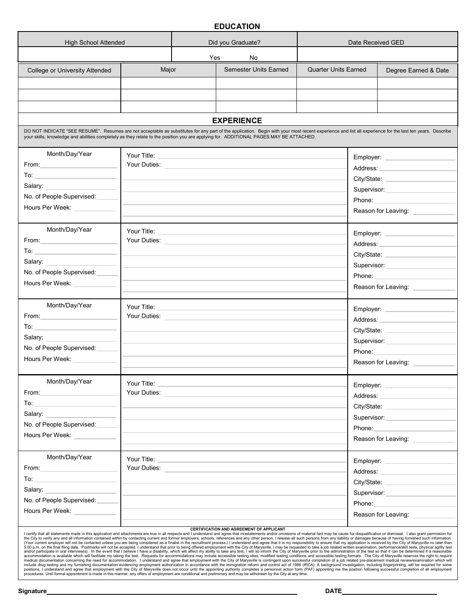## **EDUCATION**

| <b>High School Attended</b>                                                                                                                                                                                                                                                                                                                                                                                                                                                                                                                                                                                                                                                                                                                                                                                                                                                                                                                                                                                                                                                                                                                                                                                                                                                                                                                                                                                                                                                                                                                                                                                                                                                                                                                                                                                                                                                                                                                                                                                                                                                                                                                                                                                                                                                          |                                      | Did you Graduate? |                                                                                                                       | Date Received GED           |             |                                                                                                                                                                                                                                |  |  |  |
|--------------------------------------------------------------------------------------------------------------------------------------------------------------------------------------------------------------------------------------------------------------------------------------------------------------------------------------------------------------------------------------------------------------------------------------------------------------------------------------------------------------------------------------------------------------------------------------------------------------------------------------------------------------------------------------------------------------------------------------------------------------------------------------------------------------------------------------------------------------------------------------------------------------------------------------------------------------------------------------------------------------------------------------------------------------------------------------------------------------------------------------------------------------------------------------------------------------------------------------------------------------------------------------------------------------------------------------------------------------------------------------------------------------------------------------------------------------------------------------------------------------------------------------------------------------------------------------------------------------------------------------------------------------------------------------------------------------------------------------------------------------------------------------------------------------------------------------------------------------------------------------------------------------------------------------------------------------------------------------------------------------------------------------------------------------------------------------------------------------------------------------------------------------------------------------------------------------------------------------------------------------------------------------|--------------------------------------|-------------------|-----------------------------------------------------------------------------------------------------------------------|-----------------------------|-------------|--------------------------------------------------------------------------------------------------------------------------------------------------------------------------------------------------------------------------------|--|--|--|
|                                                                                                                                                                                                                                                                                                                                                                                                                                                                                                                                                                                                                                                                                                                                                                                                                                                                                                                                                                                                                                                                                                                                                                                                                                                                                                                                                                                                                                                                                                                                                                                                                                                                                                                                                                                                                                                                                                                                                                                                                                                                                                                                                                                                                                                                                      |                                      | Yes               | No                                                                                                                    |                             |             |                                                                                                                                                                                                                                |  |  |  |
| College or University Attended                                                                                                                                                                                                                                                                                                                                                                                                                                                                                                                                                                                                                                                                                                                                                                                                                                                                                                                                                                                                                                                                                                                                                                                                                                                                                                                                                                                                                                                                                                                                                                                                                                                                                                                                                                                                                                                                                                                                                                                                                                                                                                                                                                                                                                                       | Major                                |                   | <b>Semester Units Earned</b>                                                                                          | <b>Quarter Units Earned</b> |             | Degree Earned & Date                                                                                                                                                                                                           |  |  |  |
|                                                                                                                                                                                                                                                                                                                                                                                                                                                                                                                                                                                                                                                                                                                                                                                                                                                                                                                                                                                                                                                                                                                                                                                                                                                                                                                                                                                                                                                                                                                                                                                                                                                                                                                                                                                                                                                                                                                                                                                                                                                                                                                                                                                                                                                                                      |                                      |                   |                                                                                                                       |                             |             |                                                                                                                                                                                                                                |  |  |  |
|                                                                                                                                                                                                                                                                                                                                                                                                                                                                                                                                                                                                                                                                                                                                                                                                                                                                                                                                                                                                                                                                                                                                                                                                                                                                                                                                                                                                                                                                                                                                                                                                                                                                                                                                                                                                                                                                                                                                                                                                                                                                                                                                                                                                                                                                                      |                                      |                   |                                                                                                                       |                             |             |                                                                                                                                                                                                                                |  |  |  |
|                                                                                                                                                                                                                                                                                                                                                                                                                                                                                                                                                                                                                                                                                                                                                                                                                                                                                                                                                                                                                                                                                                                                                                                                                                                                                                                                                                                                                                                                                                                                                                                                                                                                                                                                                                                                                                                                                                                                                                                                                                                                                                                                                                                                                                                                                      |                                      |                   |                                                                                                                       |                             |             |                                                                                                                                                                                                                                |  |  |  |
|                                                                                                                                                                                                                                                                                                                                                                                                                                                                                                                                                                                                                                                                                                                                                                                                                                                                                                                                                                                                                                                                                                                                                                                                                                                                                                                                                                                                                                                                                                                                                                                                                                                                                                                                                                                                                                                                                                                                                                                                                                                                                                                                                                                                                                                                                      |                                      |                   | <b>EXPERIENCE</b>                                                                                                     |                             |             |                                                                                                                                                                                                                                |  |  |  |
| DO NOT INDICATE "SEE RESUME". Resumes are not acceptable as substitutes for any part of the application. Begin with your most recent experience and list all experience for the last ten years. Describe<br>your skills, knowledge and abilities completely as they relate to the position you are applying for. ADDITIONAL PAGES MAY BE ATTACHED.                                                                                                                                                                                                                                                                                                                                                                                                                                                                                                                                                                                                                                                                                                                                                                                                                                                                                                                                                                                                                                                                                                                                                                                                                                                                                                                                                                                                                                                                                                                                                                                                                                                                                                                                                                                                                                                                                                                                   |                                      |                   |                                                                                                                       |                             |             |                                                                                                                                                                                                                                |  |  |  |
| Month/Day/Year                                                                                                                                                                                                                                                                                                                                                                                                                                                                                                                                                                                                                                                                                                                                                                                                                                                                                                                                                                                                                                                                                                                                                                                                                                                                                                                                                                                                                                                                                                                                                                                                                                                                                                                                                                                                                                                                                                                                                                                                                                                                                                                                                                                                                                                                       | Your Title:                          |                   |                                                                                                                       |                             |             |                                                                                                                                                                                                                                |  |  |  |
|                                                                                                                                                                                                                                                                                                                                                                                                                                                                                                                                                                                                                                                                                                                                                                                                                                                                                                                                                                                                                                                                                                                                                                                                                                                                                                                                                                                                                                                                                                                                                                                                                                                                                                                                                                                                                                                                                                                                                                                                                                                                                                                                                                                                                                                                                      |                                      |                   |                                                                                                                       |                             |             | Address: National Address:                                                                                                                                                                                                     |  |  |  |
|                                                                                                                                                                                                                                                                                                                                                                                                                                                                                                                                                                                                                                                                                                                                                                                                                                                                                                                                                                                                                                                                                                                                                                                                                                                                                                                                                                                                                                                                                                                                                                                                                                                                                                                                                                                                                                                                                                                                                                                                                                                                                                                                                                                                                                                                                      |                                      |                   |                                                                                                                       |                             |             |                                                                                                                                                                                                                                |  |  |  |
| Salary:                                                                                                                                                                                                                                                                                                                                                                                                                                                                                                                                                                                                                                                                                                                                                                                                                                                                                                                                                                                                                                                                                                                                                                                                                                                                                                                                                                                                                                                                                                                                                                                                                                                                                                                                                                                                                                                                                                                                                                                                                                                                                                                                                                                                                                                                              |                                      |                   |                                                                                                                       |                             |             | Supervisor: Supervisor:                                                                                                                                                                                                        |  |  |  |
| No. of People Supervised:                                                                                                                                                                                                                                                                                                                                                                                                                                                                                                                                                                                                                                                                                                                                                                                                                                                                                                                                                                                                                                                                                                                                                                                                                                                                                                                                                                                                                                                                                                                                                                                                                                                                                                                                                                                                                                                                                                                                                                                                                                                                                                                                                                                                                                                            |                                      |                   |                                                                                                                       |                             |             | Phone: 2008                                                                                                                                                                                                                    |  |  |  |
| Hours Per Week:                                                                                                                                                                                                                                                                                                                                                                                                                                                                                                                                                                                                                                                                                                                                                                                                                                                                                                                                                                                                                                                                                                                                                                                                                                                                                                                                                                                                                                                                                                                                                                                                                                                                                                                                                                                                                                                                                                                                                                                                                                                                                                                                                                                                                                                                      |                                      |                   |                                                                                                                       |                             |             | Reason for Leaving:                                                                                                                                                                                                            |  |  |  |
| Month/Day/Year                                                                                                                                                                                                                                                                                                                                                                                                                                                                                                                                                                                                                                                                                                                                                                                                                                                                                                                                                                                                                                                                                                                                                                                                                                                                                                                                                                                                                                                                                                                                                                                                                                                                                                                                                                                                                                                                                                                                                                                                                                                                                                                                                                                                                                                                       |                                      |                   |                                                                                                                       |                             |             |                                                                                                                                                                                                                                |  |  |  |
| From:                                                                                                                                                                                                                                                                                                                                                                                                                                                                                                                                                                                                                                                                                                                                                                                                                                                                                                                                                                                                                                                                                                                                                                                                                                                                                                                                                                                                                                                                                                                                                                                                                                                                                                                                                                                                                                                                                                                                                                                                                                                                                                                                                                                                                                                                                |                                      |                   |                                                                                                                       |                             |             | Employer: _____________                                                                                                                                                                                                        |  |  |  |
| $\overline{a}$ To: $\overline{a}$ To: $\overline{a}$ To: $\overline{a}$ To: $\overline{a}$ To: $\overline{a}$                                                                                                                                                                                                                                                                                                                                                                                                                                                                                                                                                                                                                                                                                                                                                                                                                                                                                                                                                                                                                                                                                                                                                                                                                                                                                                                                                                                                                                                                                                                                                                                                                                                                                                                                                                                                                                                                                                                                                                                                                                                                                                                                                                        |                                      |                   | Your Duties: New Your Duties:                                                                                         |                             |             | Address: Andrease and the state of the state of the state of the state of the state of the state of the state of the state of the state of the state of the state of the state of the state of the state of the state of the s |  |  |  |
| Salary: Salary:                                                                                                                                                                                                                                                                                                                                                                                                                                                                                                                                                                                                                                                                                                                                                                                                                                                                                                                                                                                                                                                                                                                                                                                                                                                                                                                                                                                                                                                                                                                                                                                                                                                                                                                                                                                                                                                                                                                                                                                                                                                                                                                                                                                                                                                                      |                                      |                   |                                                                                                                       |                             |             |                                                                                                                                                                                                                                |  |  |  |
| No. of People Supervised:                                                                                                                                                                                                                                                                                                                                                                                                                                                                                                                                                                                                                                                                                                                                                                                                                                                                                                                                                                                                                                                                                                                                                                                                                                                                                                                                                                                                                                                                                                                                                                                                                                                                                                                                                                                                                                                                                                                                                                                                                                                                                                                                                                                                                                                            |                                      |                   |                                                                                                                       |                             | Supervisor: |                                                                                                                                                                                                                                |  |  |  |
| Hours Per Week:                                                                                                                                                                                                                                                                                                                                                                                                                                                                                                                                                                                                                                                                                                                                                                                                                                                                                                                                                                                                                                                                                                                                                                                                                                                                                                                                                                                                                                                                                                                                                                                                                                                                                                                                                                                                                                                                                                                                                                                                                                                                                                                                                                                                                                                                      |                                      |                   |                                                                                                                       |                             |             | Phone: The contract of the contract of the contract of the contract of the contract of the contract of the contract of the contract of the contract of the contract of the contract of the contract of the contract of the con |  |  |  |
|                                                                                                                                                                                                                                                                                                                                                                                                                                                                                                                                                                                                                                                                                                                                                                                                                                                                                                                                                                                                                                                                                                                                                                                                                                                                                                                                                                                                                                                                                                                                                                                                                                                                                                                                                                                                                                                                                                                                                                                                                                                                                                                                                                                                                                                                                      |                                      |                   |                                                                                                                       |                             |             | Reason for Leaving: _________                                                                                                                                                                                                  |  |  |  |
| Month/Day/Year                                                                                                                                                                                                                                                                                                                                                                                                                                                                                                                                                                                                                                                                                                                                                                                                                                                                                                                                                                                                                                                                                                                                                                                                                                                                                                                                                                                                                                                                                                                                                                                                                                                                                                                                                                                                                                                                                                                                                                                                                                                                                                                                                                                                                                                                       | Your Title: ________________________ |                   |                                                                                                                       |                             |             | Employer: _______________                                                                                                                                                                                                      |  |  |  |
| From: <u>__________</u>                                                                                                                                                                                                                                                                                                                                                                                                                                                                                                                                                                                                                                                                                                                                                                                                                                                                                                                                                                                                                                                                                                                                                                                                                                                                                                                                                                                                                                                                                                                                                                                                                                                                                                                                                                                                                                                                                                                                                                                                                                                                                                                                                                                                                                                              |                                      |                   |                                                                                                                       |                             |             | Address: _____________________                                                                                                                                                                                                 |  |  |  |
|                                                                                                                                                                                                                                                                                                                                                                                                                                                                                                                                                                                                                                                                                                                                                                                                                                                                                                                                                                                                                                                                                                                                                                                                                                                                                                                                                                                                                                                                                                                                                                                                                                                                                                                                                                                                                                                                                                                                                                                                                                                                                                                                                                                                                                                                                      |                                      |                   |                                                                                                                       |                             |             |                                                                                                                                                                                                                                |  |  |  |
| Salary:                                                                                                                                                                                                                                                                                                                                                                                                                                                                                                                                                                                                                                                                                                                                                                                                                                                                                                                                                                                                                                                                                                                                                                                                                                                                                                                                                                                                                                                                                                                                                                                                                                                                                                                                                                                                                                                                                                                                                                                                                                                                                                                                                                                                                                                                              |                                      |                   |                                                                                                                       |                             |             | Supervisor: Supervisor:                                                                                                                                                                                                        |  |  |  |
| No. of People Supervised:                                                                                                                                                                                                                                                                                                                                                                                                                                                                                                                                                                                                                                                                                                                                                                                                                                                                                                                                                                                                                                                                                                                                                                                                                                                                                                                                                                                                                                                                                                                                                                                                                                                                                                                                                                                                                                                                                                                                                                                                                                                                                                                                                                                                                                                            |                                      |                   |                                                                                                                       |                             | Phone:      |                                                                                                                                                                                                                                |  |  |  |
| Hours Per Week: __________                                                                                                                                                                                                                                                                                                                                                                                                                                                                                                                                                                                                                                                                                                                                                                                                                                                                                                                                                                                                                                                                                                                                                                                                                                                                                                                                                                                                                                                                                                                                                                                                                                                                                                                                                                                                                                                                                                                                                                                                                                                                                                                                                                                                                                                           |                                      |                   |                                                                                                                       |                             |             | Reason for Leaving: _________                                                                                                                                                                                                  |  |  |  |
|                                                                                                                                                                                                                                                                                                                                                                                                                                                                                                                                                                                                                                                                                                                                                                                                                                                                                                                                                                                                                                                                                                                                                                                                                                                                                                                                                                                                                                                                                                                                                                                                                                                                                                                                                                                                                                                                                                                                                                                                                                                                                                                                                                                                                                                                                      |                                      |                   |                                                                                                                       |                             |             |                                                                                                                                                                                                                                |  |  |  |
| Month/Day/Year                                                                                                                                                                                                                                                                                                                                                                                                                                                                                                                                                                                                                                                                                                                                                                                                                                                                                                                                                                                                                                                                                                                                                                                                                                                                                                                                                                                                                                                                                                                                                                                                                                                                                                                                                                                                                                                                                                                                                                                                                                                                                                                                                                                                                                                                       | Your Title:                          |                   |                                                                                                                       |                             | Employer:   | the control of the control of the                                                                                                                                                                                              |  |  |  |
| From:                                                                                                                                                                                                                                                                                                                                                                                                                                                                                                                                                                                                                                                                                                                                                                                                                                                                                                                                                                                                                                                                                                                                                                                                                                                                                                                                                                                                                                                                                                                                                                                                                                                                                                                                                                                                                                                                                                                                                                                                                                                                                                                                                                                                                                                                                | Your Duties:                         |                   |                                                                                                                       |                             | Address:    |                                                                                                                                                                                                                                |  |  |  |
| To:                                                                                                                                                                                                                                                                                                                                                                                                                                                                                                                                                                                                                                                                                                                                                                                                                                                                                                                                                                                                                                                                                                                                                                                                                                                                                                                                                                                                                                                                                                                                                                                                                                                                                                                                                                                                                                                                                                                                                                                                                                                                                                                                                                                                                                                                                  |                                      |                   |                                                                                                                       |                             |             |                                                                                                                                                                                                                                |  |  |  |
| Salary:                                                                                                                                                                                                                                                                                                                                                                                                                                                                                                                                                                                                                                                                                                                                                                                                                                                                                                                                                                                                                                                                                                                                                                                                                                                                                                                                                                                                                                                                                                                                                                                                                                                                                                                                                                                                                                                                                                                                                                                                                                                                                                                                                                                                                                                                              |                                      |                   |                                                                                                                       |                             |             | Supervisor: Supervisor:                                                                                                                                                                                                        |  |  |  |
| No. of People Supervised:                                                                                                                                                                                                                                                                                                                                                                                                                                                                                                                                                                                                                                                                                                                                                                                                                                                                                                                                                                                                                                                                                                                                                                                                                                                                                                                                                                                                                                                                                                                                                                                                                                                                                                                                                                                                                                                                                                                                                                                                                                                                                                                                                                                                                                                            |                                      |                   |                                                                                                                       |                             |             | Phone: and the state of the state of the state of the state of the state of the state of the state of the state of the state of the state of the state of the state of the state of the state of the state of the state of the |  |  |  |
| Hours Per Week:                                                                                                                                                                                                                                                                                                                                                                                                                                                                                                                                                                                                                                                                                                                                                                                                                                                                                                                                                                                                                                                                                                                                                                                                                                                                                                                                                                                                                                                                                                                                                                                                                                                                                                                                                                                                                                                                                                                                                                                                                                                                                                                                                                                                                                                                      |                                      |                   |                                                                                                                       |                             |             | Reason for Leaving:                                                                                                                                                                                                            |  |  |  |
| Month/Day/Year                                                                                                                                                                                                                                                                                                                                                                                                                                                                                                                                                                                                                                                                                                                                                                                                                                                                                                                                                                                                                                                                                                                                                                                                                                                                                                                                                                                                                                                                                                                                                                                                                                                                                                                                                                                                                                                                                                                                                                                                                                                                                                                                                                                                                                                                       | Your Title:                          |                   | the control of the control of the control of the control of the control of the control of                             |                             |             | Employer: Network and the state of the state of the state of the state of the state of the state of the state o                                                                                                                |  |  |  |
| From:                                                                                                                                                                                                                                                                                                                                                                                                                                                                                                                                                                                                                                                                                                                                                                                                                                                                                                                                                                                                                                                                                                                                                                                                                                                                                                                                                                                                                                                                                                                                                                                                                                                                                                                                                                                                                                                                                                                                                                                                                                                                                                                                                                                                                                                                                |                                      |                   | Your Duties: <u>Andreas Alexander Alexander Alexander Alexander Alexander Alexander Alexander Alexander Alexander</u> |                             |             | Address: ________________                                                                                                                                                                                                      |  |  |  |
| To:<br>the control of the control of the                                                                                                                                                                                                                                                                                                                                                                                                                                                                                                                                                                                                                                                                                                                                                                                                                                                                                                                                                                                                                                                                                                                                                                                                                                                                                                                                                                                                                                                                                                                                                                                                                                                                                                                                                                                                                                                                                                                                                                                                                                                                                                                                                                                                                                             |                                      |                   |                                                                                                                       |                             |             |                                                                                                                                                                                                                                |  |  |  |
| Salary:                                                                                                                                                                                                                                                                                                                                                                                                                                                                                                                                                                                                                                                                                                                                                                                                                                                                                                                                                                                                                                                                                                                                                                                                                                                                                                                                                                                                                                                                                                                                                                                                                                                                                                                                                                                                                                                                                                                                                                                                                                                                                                                                                                                                                                                                              |                                      |                   |                                                                                                                       |                             | Supervisor: |                                                                                                                                                                                                                                |  |  |  |
| No. of People Supervised:                                                                                                                                                                                                                                                                                                                                                                                                                                                                                                                                                                                                                                                                                                                                                                                                                                                                                                                                                                                                                                                                                                                                                                                                                                                                                                                                                                                                                                                                                                                                                                                                                                                                                                                                                                                                                                                                                                                                                                                                                                                                                                                                                                                                                                                            |                                      |                   |                                                                                                                       |                             |             | Phone: The contract of the contract of the contract of the contract of the contract of the contract of the contract of the contract of the contract of the contract of the contract of the contract of the contract of the con |  |  |  |
| Hours Per Week:                                                                                                                                                                                                                                                                                                                                                                                                                                                                                                                                                                                                                                                                                                                                                                                                                                                                                                                                                                                                                                                                                                                                                                                                                                                                                                                                                                                                                                                                                                                                                                                                                                                                                                                                                                                                                                                                                                                                                                                                                                                                                                                                                                                                                                                                      |                                      |                   |                                                                                                                       |                             |             | Reason for Leaving:                                                                                                                                                                                                            |  |  |  |
|                                                                                                                                                                                                                                                                                                                                                                                                                                                                                                                                                                                                                                                                                                                                                                                                                                                                                                                                                                                                                                                                                                                                                                                                                                                                                                                                                                                                                                                                                                                                                                                                                                                                                                                                                                                                                                                                                                                                                                                                                                                                                                                                                                                                                                                                                      |                                      |                   | CERTIFICATION AND AGREEMENT OF APPLICANT                                                                              |                             |             |                                                                                                                                                                                                                                |  |  |  |
| I certify that all statements made in this application and attachments are true in all respects and I understand and agree that misstatements and/or omissions of material fact may be cause for disqualification or dismissal<br>the City to verify any and all information contained within by contacting current and former employers, schools, references and any other person. I release all such persons from any liability or damages because of having f<br>(Your current employer will not be contacted unless you are being considered as a finalist in the recruitment process.) I understand and agree that it is my responsibility to ensure that my application is received by the C<br>5:00 p.m. on the final filing date. Postmarks will not be accepted. I understand that prior to being offered employment with the City of Marysville, I may be requested to take a job related written examination, performance<br>and/or participate in oral interview(s). In the event that I believe I have a disability, which will affect my ability to take any test, I will so inform the City of Marysville prior to the administration of the test so th<br>accommodation is available which will facilitate my taking the test. Requests for accommodations may include accessible testing sites, modified testing conditions and accessible testing formats. The City of Marysville rese<br>medical documentation concerning the need for accommodation. I understand and agree that employment with the City of Marysville is contingent upon successful completion of a job related pre-placement medical review/examina<br>include drug testing and my furnishing documentation evidencing employment authorization in accordance with the immigration reform and control act of 1986 (IRCA). A background investigation, including fingerprinting, will<br>positions, I understand and agree that employment with the City of Marysville does not occur until the appointing authority completes a personnel action form (PAF) appointing me the position following successful completion<br>procedures. Until formal appointment is made in this manner, any offers of employment are conditional and preliminary and may be withdrawn by the City at any time. |                                      |                   |                                                                                                                       |                             |             |                                                                                                                                                                                                                                |  |  |  |